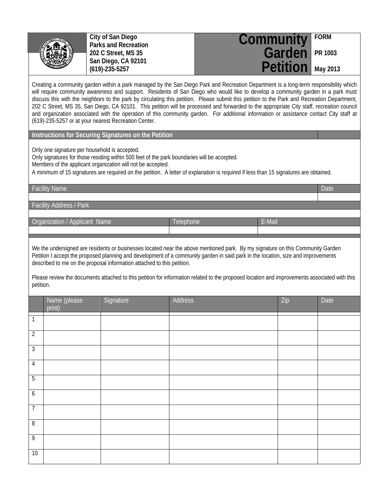

**City of San Diego Parks and Recreation 202 C Street, MS 35 San Diego, CA 92101 (619)-235-5257**

| <b>Community</b> FORM    |  |
|--------------------------|--|
| Garden PR 1003           |  |
| <b>Petition</b> May 2013 |  |

Creating a community garden within a park managed by the San Diego Park and Recreation Department is a long-term responsibility which will require community awareness and support. Residents of San Diego who would like to develop a community garden in a park must discuss this with the neighbors to the park by circulating this petition. Please submit this petition to the Park and Recreation Department, 202 C Street, MS 35, San Diego, CA 92101. This petition will be processed and forwarded to the appropriate City staff, recreation council and organization associated with the operation of this community garden. For additional information or assistance contact City staff at (619)-235-5257 or at your nearest Recreation Center.

**Instructions for Securing Signatures on the Petition**

Only one signature per household is accepted.

Only signatures for those residing within 500 feet of the park boundaries will be accepted.

Members of the applicant organization will not be accepted.

A minimum of 15 signatures are required on the petition. A letter of explanation is required if less than 15 signatures are obtained.

Facility Name **Date of Contract Contract Contract Contract Contract Contract Contract Contract Contract Contract Contract Contract Contract Contract Contract Contract Contract Contract Contract Contract Contract Contract C** 

Facility Address / Park

Organization / Applicant Name Telephone Telephone E-Mail

We the undersigned are residents or businesses located near the above mentioned park. By my signature on this Community Garden Petition I accept the proposed planning and development of a community garden in said park in the location, size and improvements described to me on the proposal information attached to this petition.

Please review the documents attached to this petition for information related to the proposed location and improvements associated with this petition.

|                  | Name (please<br>print) | Signature | Address | Zip | Date |
|------------------|------------------------|-----------|---------|-----|------|
| $\mathbf{1}$     |                        |           |         |     |      |
| $\overline{2}$   |                        |           |         |     |      |
| $\overline{3}$   |                        |           |         |     |      |
| $\overline{4}$   |                        |           |         |     |      |
| $\overline{5}$   |                        |           |         |     |      |
| $\boldsymbol{6}$ |                        |           |         |     |      |
| $\overline{7}$   |                        |           |         |     |      |
| $\infty$         |                        |           |         |     |      |
| $\overline{9}$   |                        |           |         |     |      |
| 10               |                        |           |         |     |      |